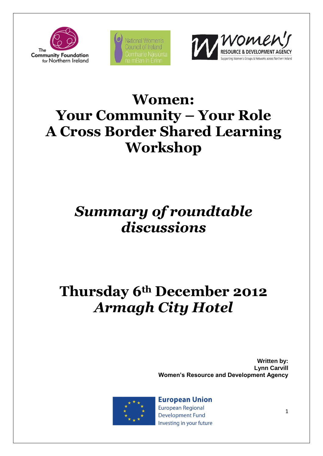





# **Women: Your Community – Your Role A Cross Border Shared Learning Workshop**

# *Summary of roundtable discussions*

# **Thursday 6th December 2012** *Armagh City Hotel*

**Written by: Lynn Carvill Women's Resource and Development Agency**



**European Union** European Regional **Development Fund** Investing in your future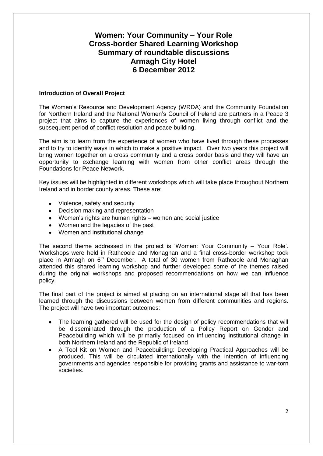# **Women: Your Community – Your Role Cross-border Shared Learning Workshop Summary of roundtable discussions Armagh City Hotel 6 December 2012**

# **Introduction of Overall Project**

The Women's Resource and Development Agency (WRDA) and the Community Foundation for Northern Ireland and the National Women's Council of Ireland are partners in a Peace 3 project that aims to capture the experiences of women living through conflict and the subsequent period of conflict resolution and peace building.

The aim is to learn from the experience of women who have lived through these processes and to try to identify ways in which to make a positive impact. Over two years this project will bring women together on a cross community and a cross border basis and they will have an opportunity to exchange learning with women from other conflict areas through the Foundations for Peace Network.

Key issues will be highlighted in different workshops which will take place throughout Northern Ireland and in border county areas. These are:

- Violence, safety and security
- Decision making and representation
- Women's rights are human rights women and social justice
- Women and the legacies of the past
- Women and institutional change

The second theme addressed in the project is 'Women: Your Community – Your Role'. Workshops were held in Rathcoole and Monaghan and a final cross-border workshop took place in Armagh on 6<sup>th</sup> December. A total of 30 women from Rathcoole and Monaghan attended this shared learning workshop and further developed some of the themes raised during the original workshops and proposed recommendations on how we can influence policy.

The final part of the project is aimed at placing on an international stage all that has been learned through the discussions between women from different communities and regions. The project will have two important outcomes:

- The learning gathered will be used for the design of policy recommendations that will be disseminated through the production of a Policy Report on Gender and Peacebuilding which will be primarily focused on influencing institutional change in both Northern Ireland and the Republic of Ireland
- $\bullet$ A Tool Kit on Women and Peacebuilding: Developing Practical Approaches will be produced. This will be circulated internationally with the intention of influencing governments and agencies responsible for providing grants and assistance to war-torn societies.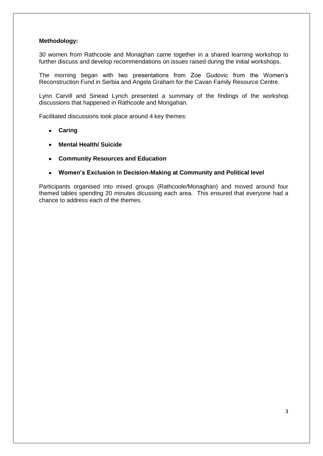# **Methodology:**

30 women from Rathcoole and Monaghan came together in a shared learning workshop to further discuss and develop recommendations on issues raised during the initial workshops.

The morning began with two presentations from Zoe Gudovic from the Women's Reconstruction Fund in Serbia and Angela Graham for the Cavan Family Resource Centre.

Lynn Carvill and Sinead Lynch presented a summary of the findings of the workshop discussions that happened in Rathcoole and Mongahan.

Facilitated discussions took place around 4 key themes:

- **Caring**
- **Mental Health/ Suicide**
- **Community Resources and Education**
- **Women's Exclusion in Decision-Making at Community and Political level**

Participants organised into mixed groups (Rathcoole/Monaghan) and moved around four themed tables spending 20 minutes dicussing each area. This ensured that everyone had a chance to address each of the themes.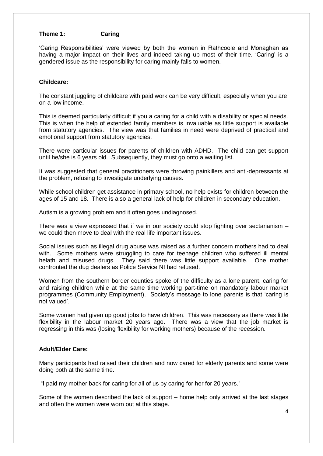# **Theme 1: Caring**

'Caring Responsibilities' were viewed by both the women in Rathcoole and Monaghan as having a major impact on their lives and indeed taking up most of their time. 'Caring' is a gendered issue as the responsibility for caring mainly falls to women.

# **Childcare:**

The constant juggling of childcare with paid work can be very difficult, especially when you are on a low income.

This is deemed particularly difficult if you a caring for a child with a disability or special needs. This is when the help of extended family members is invaluable as little support is available from statutory agencies. The view was that families in need were deprived of practical and emotional support from statutory agencies.

There were particular issues for parents of children with ADHD. The child can get support until he/she is 6 years old. Subsequently, they must go onto a waiting list.

It was suggested that general practitioners were throwing painkillers and anti-depressants at the problem, refusing to investigate underlying causes.

While school children get assistance in primary school, no help exists for children between the ages of 15 and 18. There is also a general lack of help for children in secondary education.

Autism is a growing problem and it often goes undiagnosed.

There was a view expressed that if we in our society could stop fighting over sectarianism – we could then move to deal with the real life important issues.

Social issues such as illegal drug abuse was raised as a further concern mothers had to deal with. Some mothers were struggling to care for teenage children who suffered ill mental helath and misused drugs. They said there was little support available. One mother confronted the dug dealers as Police Service NI had refused.

Women from the southern border counties spoke of the difficulty as a lone parent, caring for and raising children while at the same time working part-time on mandatory labour market programmes (Community Employment). Society's message to lone parents is that 'caring is not valued'.

Some women had given up good jobs to have children. This was necessary as there was little flexibility in the labour market 20 years ago. There was a view that the job market is regressing in this was (losing flexibility for working mothers) because of the recession.

# **Adult/Elder Care:**

Many participants had raised their children and now cared for elderly parents and some were doing both at the same time.

"I paid my mother back for caring for all of us by caring for her for 20 years."

Some of the women described the lack of support – home help only arrived at the last stages and often the women were worn out at this stage.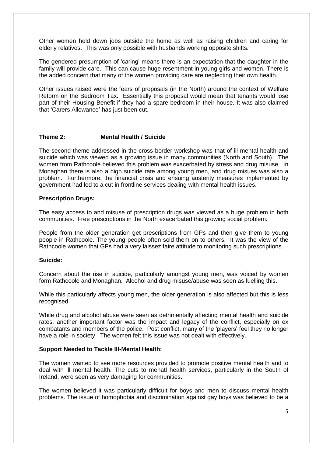Other women held down jobs outside the home as well as raising children and caring for elderly relatives. This was only possible with husbands working opposite shifts.

The gendered presumption of 'caring' means there is an expectation that the daughter in the family will provide care. This can cause huge resentment in young girls and women. There is the added concern that many of the women providing care are neglecting their own health.

Other issues raised were the fears of proposals (in the North) around the context of Welfare Reform on the Bedroom Tax. Essentially this proposal would mean that tenants would lose part of their Housing Benefit if they had a spare bedroom in their house. It was also claimed that 'Carers Allowance' has just been cut.

# **Theme 2: Mental Health / Suicide**

The second theme addressed in the cross-border workshop was that of ill mental health and suicide which was viewed as a growing issue in many communities (North and South). The women from Rathcoole believed this problem was exacerbated by stress and drug misuse. In Monaghan there is also a high suicide rate among young men, and drug misues was also a problem. Furthermore, the financial crisis and ensuing austerity measures implemented by government had led to a cut in frontline services dealing with mental health issues.

# **Prescription Drugs:**

The easy access to and misuse of prescription drugs was viewed as a huge problem in both communities. Free prescriptions in the North exacerbated this growing social problem.

People from the older generation get prescriptions from GPs and then give them to young people in Rathcoole. The young people often sold them on to others. It was the view of the Rathcoole women that GPs had a very laissez faire attitude to monitoring such prescriptions.

#### **Suicide:**

Concern about the rise in suicide, particularly amongst young men, was voiced by women form Rathcoole and Monaghan. Alcohol and drug misuse/abuse was seen as fuelling this.

While this particularly affects young men, the older generation is also affected but this is less recognised.

While drug and alcohol abuse were seen as detrimentally affecting mental health and suicide rates, another important factor was the impact and legacy of the conflict, especially on ex combatants and members of the police. Post conflict, many of the 'players' feel they no longer have a role in society. The women felt this issue was not dealt with effectively.

#### **Support Needed to Tackle Ill-Mental Health:**

The women wanted to see more resources provided to promote positive mental health and to deal with ill mental health. The cuts to menatl health services, particularly in the South of Ireland, were seen as very damaging for communities.

The women believed it was particularly difficult for boys and men to discuss mental health problems. The issue of homophobia and discrimination against gay boys was believed to be a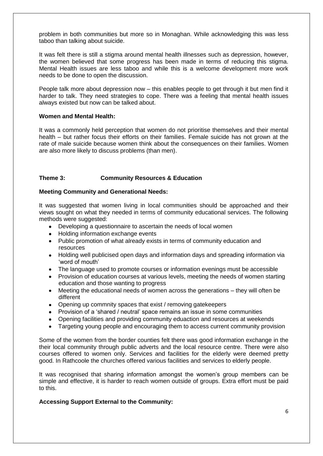problem in both communities but more so in Monaghan. While acknowledging this was less taboo than talking about suicide.

It was felt there is still a stigma around mental health illnesses such as depression, however, the women believed that some progress has been made in terms of reducing this stigma. Mental Health issues are less taboo and while this is a welcome development more work needs to be done to open the discussion.

People talk more about depression now – this enables people to get through it but men find it harder to talk. They need strategies to cope. There was a feeling that mental health issues always existed but now can be talked about.

# **Women and Mental Health:**

It was a commonly held perception that women do not prioritise themselves and their mental health – but rather focus their efforts on their families. Female suicide has not grown at the rate of male suicide because women think about the consequences on their families. Women are also more likely to discuss problems (than men).

# **Theme 3: Community Resources & Education**

# **Meeting Community and Generational Needs:**

It was suggested that women living in local communities should be approached and their views sought on what they needed in terms of community educational services. The following methods were suggested:

- Developing a questionnaire to ascertain the needs of local women
- Holding information exchange events
- Public promotion of what already exists in terms of community education and resources
- Holding well publicised open days and information days and spreading information via 'word of mouth'
- The language used to promote courses or information evenings must be accessible
- $\bullet$ Provision of education courses at various levels, meeting the needs of women starting education and those wanting to progress
- Meeting the educational needs of women across the generations they will often be different
- Opening up commnity spaces that exist / removing gatekeepers
- Provision of a 'shared / neutral' space remains an issue in some communities
- Opening facilities and providing community eduaction and resources at weekends
- Targeting young people and encouraging them to access current community provision

Some of the women from the border counties felt there was good information exchange in the their local community through public adverts and the local resource centre. There were also courses offered to women only. Services and facilities for the elderly were deemed pretty good. In Rathcoole the churches offered various facilities and services to elderly people.

It was recognised that sharing information amongst the women's group members can be simple and effective, it is harder to reach women outside of groups. Extra effort must be paid to this.

# **Accessing Support External to the Community:**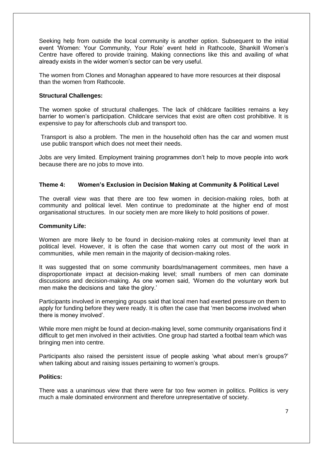Seeking help from outside the local community is another option. Subsequent to the initial event 'Women: Your Community, Your Role' event held in Rathcoole, Shankill Women's Centre have offered to provide training. Making connections like this and availing of what already exists in the wider women's sector can be very useful.

The women from Clones and Monaghan appeared to have more resources at their disposal than the women from Rathcoole.

# **Structural Challenges:**

The women spoke of structural challenges. The lack of childcare facilities remains a key barrier to women's participation. Childcare services that exist are often cost prohibitive. It is expensive to pay for afterschools club and transport too.

Transport is also a problem. The men in the household often has the car and women must use public transport which does not meet their needs.

Jobs are very limited. Employment training programmes don't help to move people into work because there are no jobs to move into.

# **Theme 4: Women's Exclusion in Decision Making at Community & Political Level**

The overall view was that there are too few women in decision-making roles, both at community and political level. Men continue to predominate at the higher end of most organisational structures. In our society men are more likely to hold positions of power.

#### **Community Life:**

Women are more likely to be found in decision-making roles at community level than at political level. However, it is often the case that women carry out most of the work in communities, while men remain in the majority of decision-making roles.

It was suggested that on some community boards/management commitees, men have a disproportionate impact at decision-making level; small numbers of men can dominate discussions and decision-making. As one women said, 'Women do the voluntary work but men make the decisions and take the glory.'

Participants involved in emerging groups said that local men had exerted pressure on them to apply for funding before they were ready. It is often the case that 'men become involved when there is money involved'.

While more men might be found at decion-making level, some community organisations find it difficult to get men involved in their activities. One group had started a footbal team which was bringing men into centre.

Participants also raised the persistent issue of people asking 'what about men's groups?' when talking about and raising issues pertaining to women's groups.

#### **Politics:**

There was a unanimous view that there were far too few women in politics. Politics is very much a male dominated environment and therefore unrepresentative of society.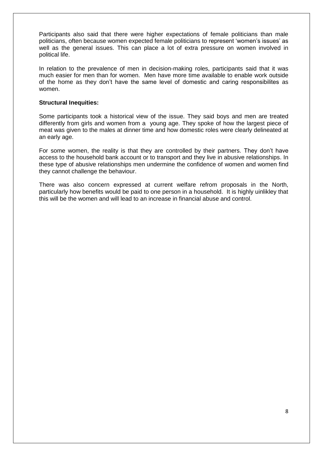Participants also said that there were higher expectations of female politicians than male politicians, often because women expected female politicians to represent 'women's issues' as well as the general issues. This can place a lot of extra pressure on women involved in political life.

In relation to the prevalence of men in decision-making roles, participants said that it was much easier for men than for women. Men have more time available to enable work outside of the home as they don't have the same level of domestic and caring responsibilites as women.

#### **Structural Inequities:**

Some participants took a historical view of the issue. They said boys and men are treated differently from girls and women from a young age. They spoke of how the largest piece of meat was given to the males at dinner time and how domestic roles were clearly delineated at an early age.

For some women, the reality is that they are controlled by their partners. They don't have access to the household bank account or to transport and they live in abusive relationships. In these type of abusive relationships men undermine the confidence of women and women find they cannot challenge the behaviour.

There was also concern expressed at current welfare refrom proposals in the North, particularly how benefits would be paid to one person in a household. It is highly uinlikley that this will be the women and will lead to an increase in financial abuse and control.